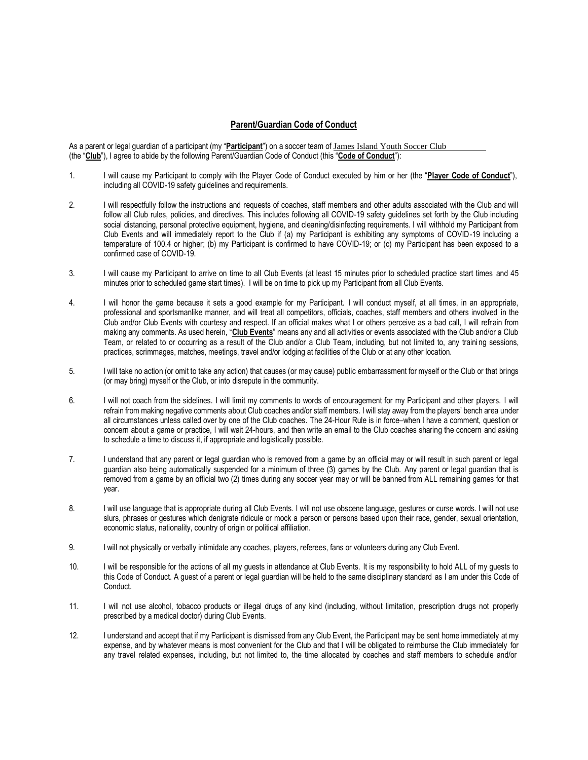## **Parent/Guardian Code of Conduct**

As a parent or legal guardian of a participant (my "**Participant**") on a soccer team of James Island Youth Soccer Club (the "**Club**"), I agree to abide by the following Parent/Guardian Code of Conduct (this "**Code of Conduct**"):

- 1. I will cause my Participant to comply with the Player Code of Conduct executed by him or her (the "**Player Code of Conduct**"), including all COVID-19 safety guidelines and requirements.
- 2. I will respectfully follow the instructions and requests of coaches, staff members and other adults associated with the Club and will follow all Club rules, policies, and directives. This includes following all COVID-19 safety guidelines set forth by the Club including social distancing, personal protective equipment, hygiene, and cleaning/disinfecting requirements. I will withhold my Participant from Club Events and will immediately report to the Club if (a) my Participant is exhibiting any symptoms of COVID-19 including a temperature of 100.4 or higher; (b) my Participant is confirmed to have COVID-19; or (c) my Participant has been exposed to a confirmed case of COVID-19.
- 3. I will cause my Participant to arrive on time to all Club Events (at least 15 minutes prior to scheduled practice start times and 45 minutes prior to scheduled game start times). I will be on time to pick up my Participant from all Club Events.
- 4. I will honor the game because it sets a good example for my Participant. I will conduct myself, at all times, in an appropriate, professional and sportsmanlike manner, and will treat all competitors, officials, coaches, staff members and others involved in the Club and/or Club Events with courtesy and respect. If an official makes what I or others perceive as a bad call, I will refrain from making any comments. As used herein, "**Club Events**" means any and all activities or events associated with the Club and/or a Club Team, or related to or occurring as a result of the Club and/or a Club Team, including, but not limited to, any traini ng sessions, practices, scrimmages, matches, meetings, travel and/or lodging at facilities of the Club or at any other location.
- 5. I will take no action (or omit to take any action) that causes (or may cause) public embarrassment for myself or the Club or that brings (or may bring) myself or the Club, or into disrepute in the community.
- 6. I will not coach from the sidelines. I will limit my comments to words of encouragement for my Participant and other players. I will refrain from making negative comments about Club coaches and/or staff members. I will stay away from the players' bench area under all circumstances unless called over by one of the Club coaches. The 24-Hour Rule is in force–when I have a comment, question or concern about a game or practice, I will wait 24-hours, and then write an email to the Club coaches sharing the concern and asking to schedule a time to discuss it, if appropriate and logistically possible.
- 7. I understand that any parent or legal guardian who is removed from a game by an official may or will result in such parent or legal guardian also being automatically suspended for a minimum of three (3) games by the Club. Any parent or legal guardian that is removed from a game by an official two (2) times during any soccer year may or will be banned from ALL remaining games for that year.
- 8. I will use language that is appropriate during all Club Events. I will not use obscene language, gestures or curse words. I will not use slurs, phrases or gestures which denigrate ridicule or mock a person or persons based upon their race, gender, sexual orientation, economic status, nationality, country of origin or political affiliation.
- 9. I will not physically or verbally intimidate any coaches, players, referees, fans or volunteers during any Club Event.
- 10. I will be responsible for the actions of all my guests in attendance at Club Events. It is my responsibility to hold ALL of my guests to this Code of Conduct. A guest of a parent or legal guardian will be held to the same disciplinary standard as I am under this Code of Conduct.
- 11. I will not use alcohol, tobacco products or illegal drugs of any kind (including, without limitation, prescription drugs not properly prescribed by a medical doctor) during Club Events.
- 12. I understand and accept that if my Participant is dismissed from any Club Event, the Participant may be sent home immediately at my expense, and by whatever means is most convenient for the Club and that I will be obligated to reimburse the Club immediately for any travel related expenses, including, but not limited to, the time allocated by coaches and staff members to schedule and/or